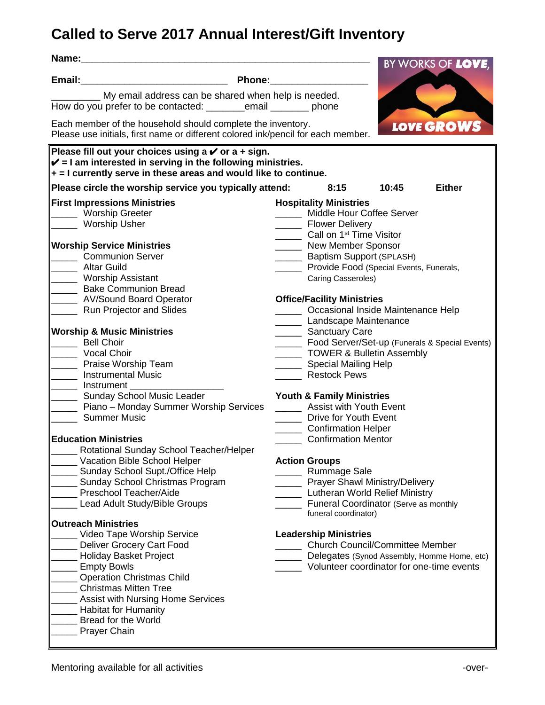## **Called to Serve 2017 Annual Interest/Gift Inventory**

| Name:                                                                                                                                              | BY WORKS OF LOVE,                                      |
|----------------------------------------------------------------------------------------------------------------------------------------------------|--------------------------------------------------------|
| <u> 1989 - Johann Barbara, martxa alemaniar a</u><br>Phone:<br>Email:                                                                              |                                                        |
| My email address can be shared when help is needed.<br>How do you prefer to be contacted: ___________ email _________ phone                        |                                                        |
| Each member of the household should complete the inventory.<br>Please use initials, first name or different colored ink/pencil for each member.    | LOVE GROWS                                             |
|                                                                                                                                                    |                                                        |
| Please fill out your choices using a $\checkmark$ or a + sign.                                                                                     |                                                        |
| $\mathbf{\check{v}}$ = I am interested in serving in the following ministries.<br>+ = I currently serve in these areas and would like to continue. |                                                        |
| Please circle the worship service you typically attend:                                                                                            | 8:15<br>10:45<br><b>Either</b>                         |
| <b>First Impressions Ministries</b>                                                                                                                | <b>Hospitality Ministries</b>                          |
| <b>Worship Greeter</b>                                                                                                                             | ____ Middle Hour Coffee Server                         |
| <b>Worship Usher</b>                                                                                                                               | Flower Delivery                                        |
|                                                                                                                                                    | Call on 1 <sup>st</sup> Time Visitor                   |
| <b>Worship Service Ministries</b>                                                                                                                  | ______ New Member Sponsor                              |
| <b>Communion Server</b>                                                                                                                            | Baptism Support (SPLASH)                               |
| <b>Altar Guild</b>                                                                                                                                 | _____ Provide Food (Special Events, Funerals,          |
| Worship Assistant                                                                                                                                  | Caring Casseroles)                                     |
| <b>Bake Communion Bread</b>                                                                                                                        |                                                        |
| ___ AV/Sound Board Operator                                                                                                                        | <b>Office/Facility Ministries</b>                      |
| Run Projector and Slides                                                                                                                           | Occasional Inside Maintenance Help                     |
|                                                                                                                                                    | Landscape Maintenance                                  |
| <b>Worship &amp; Music Ministries</b>                                                                                                              | _______ Sanctuary Care                                 |
| <b>Bell Choir</b>                                                                                                                                  | _______ Food Server/Set-up (Funerals & Special Events) |
| <b>Vocal Choir</b>                                                                                                                                 | TOWER & Bulletin Assembly                              |
| Praise Worship Team                                                                                                                                | Special Mailing Help                                   |
| <b>Instrumental Music</b>                                                                                                                          | Restock Pews                                           |
| Instrument                                                                                                                                         |                                                        |
| Sunday School Music Leader                                                                                                                         | <b>Youth &amp; Family Ministries</b>                   |
| Piano - Monday Summer Worship Services                                                                                                             | _____ Assist with Youth Event                          |
| <b>Summer Music</b>                                                                                                                                | Drive for Youth Event                                  |
|                                                                                                                                                    | Confirmation Helper                                    |
| <b>Education Ministries</b>                                                                                                                        | <b>Confirmation Mentor</b>                             |
| Rotational Sunday School Teacher/Helper                                                                                                            |                                                        |
| Vacation Bible School Helper                                                                                                                       | <b>Action Groups</b>                                   |
| Sunday School Supt./Office Help                                                                                                                    | <b>Rummage Sale</b>                                    |
| Sunday School Christmas Program                                                                                                                    | <b>Prayer Shawl Ministry/Delivery</b>                  |
| Preschool Teacher/Aide                                                                                                                             | Lutheran World Relief Ministry                         |
| Lead Adult Study/Bible Groups                                                                                                                      | Funeral Coordinator (Serve as monthly                  |
|                                                                                                                                                    | funeral coordinator)                                   |
| <b>Outreach Ministries</b>                                                                                                                         |                                                        |
| Video Tape Worship Service                                                                                                                         | <b>Leadership Ministries</b>                           |
| Deliver Grocery Cart Food                                                                                                                          | <b>Church Council/Committee Member</b>                 |
| <b>Holiday Basket Project</b>                                                                                                                      | Delegates (Synod Assembly, Homme Home, etc)            |
| <b>Empty Bowls</b>                                                                                                                                 | Volunteer coordinator for one-time events              |
| <b>Operation Christmas Child</b>                                                                                                                   |                                                        |
| <b>Christmas Mitten Tree</b>                                                                                                                       |                                                        |
| Assist with Nursing Home Services                                                                                                                  |                                                        |
| <b>Habitat for Humanity</b>                                                                                                                        |                                                        |
| <b>Bread for the World</b>                                                                                                                         |                                                        |
| Prayer Chain                                                                                                                                       |                                                        |
|                                                                                                                                                    |                                                        |